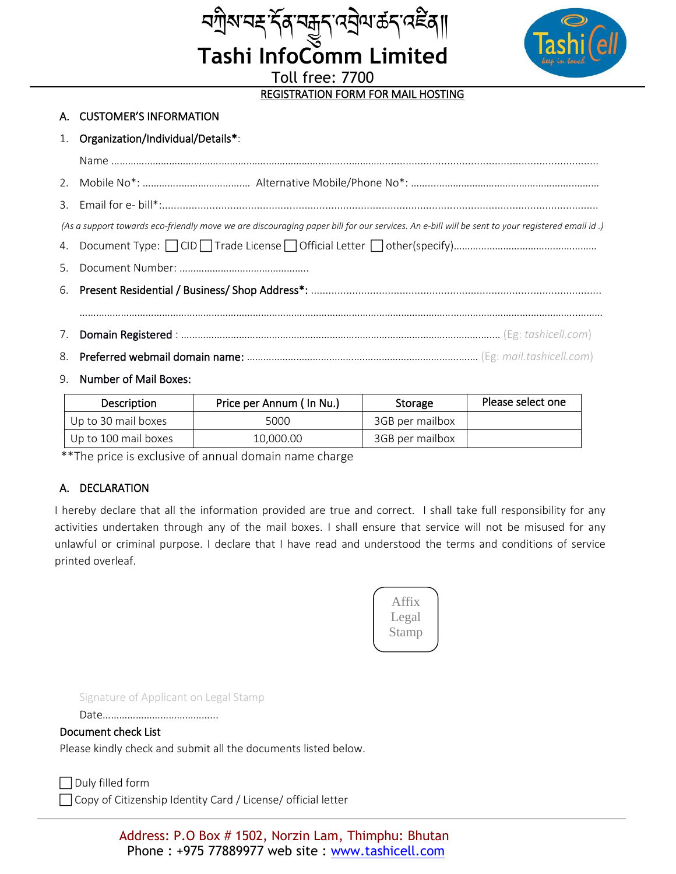

REGISTRATION FORM FOR MAIL HOSTING

ম্যাৃম্মন্দ<sup>ূ</sup>ৰ্ব্নসমূদ্<sup>নে</sup>ন্ৰীমক্তিব্ৰাগি<br>Tashi InfoComm Limited

Toll free: 7700

### A. CUSTOMER'S INFORMATION

#### 1. Organization/Individual/Details\*:

| (As a support towards eco-friendly move we are discouraging paper bill for our services. An e-bill will be sent to your registered email id.) |  |  |  |  |  |
|-----------------------------------------------------------------------------------------------------------------------------------------------|--|--|--|--|--|
|                                                                                                                                               |  |  |  |  |  |
|                                                                                                                                               |  |  |  |  |  |
|                                                                                                                                               |  |  |  |  |  |
|                                                                                                                                               |  |  |  |  |  |
|                                                                                                                                               |  |  |  |  |  |
|                                                                                                                                               |  |  |  |  |  |
| 9. Number of Mail Boxes:                                                                                                                      |  |  |  |  |  |

| Description          | Price per Annum (In Nu.) | Storage         | Please select one |
|----------------------|--------------------------|-----------------|-------------------|
| Up to 30 mail boxes  | 5000                     | 3GB per mailbox |                   |
| Up to 100 mail boxes | 10,000,00                | 3GB per mailbox |                   |

\*\*The price is exclusive of annual domain name charge

## A. DECLARATION

I hereby declare that all the information provided are true and correct. I shall take full responsibility for any activities undertaken through any of the mail boxes. I shall ensure that service will not be misused for any unlawful or criminal purpose. I declare that I have read and understood the terms and conditions of service printed overleaf.



Signature of Applicant on Legal Stamp

Date…………………………………...

#### Document check List

Please kindly check and submit all the documents listed below.

 $\Box$  Duly filled form

□ Copy of Citizenship Identity Card / License/ official letter

Address: P.O Box # 1502, Norzin Lam, Thimphu: Bhutan Phone : +975 77889977 web site : www.tashicell.com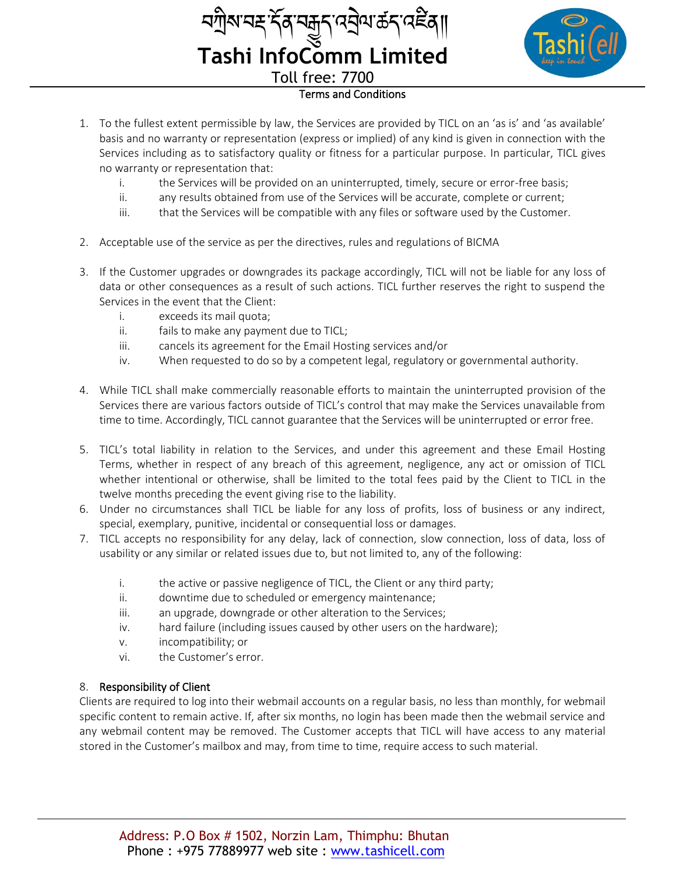| <i>ব</i> শ্রীম'নহ'র্দ্ <i>ব্</i> স্কুন্'নে <u>ই</u> ন্ম'র্ক্রন্'নেইব্ |  |
|-----------------------------------------------------------------------|--|
| <b>Tashi InfoComm Limited</b>                                         |  |
| <b>Toll free: 7700</b>                                                |  |
|                                                                       |  |



# Terms and Conditions

- 1. To the fullest extent permissible by law, the Services are provided by TICL on an 'as is' and 'as available' basis and no warranty or representation (express or implied) of any kind is given in connection with the Services including as to satisfactory quality or fitness for a particular purpose. In particular, TICL gives no warranty or representation that:
	- i. the Services will be provided on an uninterrupted, timely, secure or error-free basis;
	- ii. any results obtained from use of the Services will be accurate, complete or current;
	- iii. that the Services will be compatible with any files or software used by the Customer.
- 2. Acceptable use of the service as per the directives, rules and regulations of BICMA
- 3. If the Customer upgrades or downgrades its package accordingly, TICL will not be liable for any loss of data or other consequences as a result of such actions. TICL further reserves the right to suspend the Services in the event that the Client:
	- i. exceeds its mail quota;
	- ii. fails to make any payment due to TICL;
	- iii. cancels its agreement for the Email Hosting services and/or
	- iv. When requested to do so by a competent legal, regulatory or governmental authority.
- 4. While TICL shall make commercially reasonable efforts to maintain the uninterrupted provision of the Services there are various factors outside of TICL's control that may make the Services unavailable from time to time. Accordingly, TICL cannot guarantee that the Services will be uninterrupted or error free.
- 5. TICL's total liability in relation to the Services, and under this agreement and these Email Hosting Terms, whether in respect of any breach of this agreement, negligence, any act or omission of TICL whether intentional or otherwise, shall be limited to the total fees paid by the Client to TICL in the twelve months preceding the event giving rise to the liability.
- 6. Under no circumstances shall TICL be liable for any loss of profits, loss of business or any indirect, special, exemplary, punitive, incidental or consequential loss or damages.
- 7. TICL accepts no responsibility for any delay, lack of connection, slow connection, loss of data, loss of usability or any similar or related issues due to, but not limited to, any of the following:
	- i. the active or passive negligence of TICL, the Client or any third party;
	- ii. downtime due to scheduled or emergency maintenance;
	- iii. an upgrade, downgrade or other alteration to the Services;
	- iv. hard failure (including issues caused by other users on the hardware);
	- v. incompatibility; or
	- vi. the Customer's error.

## 8. Responsibility of Client

Clients are required to log into their webmail accounts on a regular basis, no less than monthly, for webmail specific content to remain active. If, after six months, no login has been made then the webmail service and any webmail content may be removed. The Customer accepts that TICL will have access to any material stored in the Customer's mailbox and may, from time to time, require access to such material.